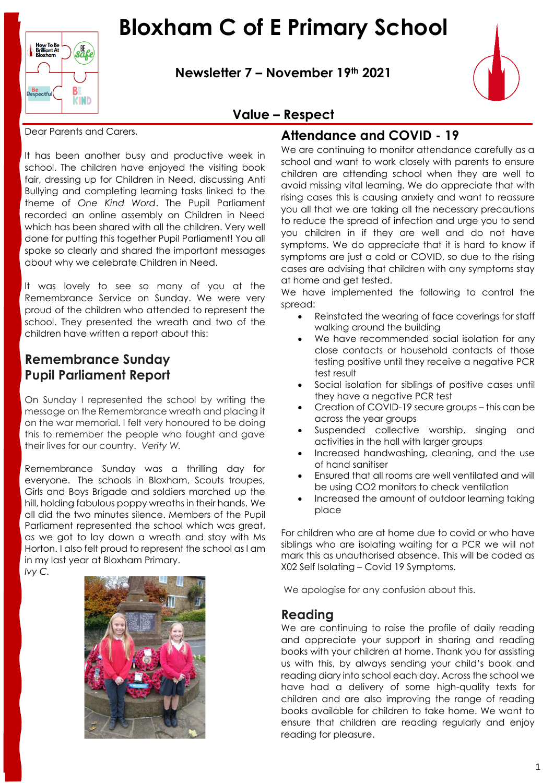# **Bloxham C of E Primary School**



**Newsletter 7 – November 19th 2021**



### **Value – Respect**

Dear Parents and Carers,

It has been another busy and productive week in school. The children have enjoyed the visiting book fair, dressing up for Children in Need, discussing Anti Bullying and completing learning tasks linked to the theme of *One Kind Word*. The Pupil Parliament recorded an online assembly on Children in Need which has been shared with all the children. Very well done for putting this together Pupil Parliament! You all spoke so clearly and shared the important messages about why we celebrate Children in Need.

It was lovely to see so many of you at the Remembrance Service on Sunday. We were very proud of the children who attended to represent the school. They presented the wreath and two of the children have written a report about this:

# **Remembrance Sunday Pupil Parliament Report**

On Sunday I represented the school by writing the message on the Remembrance wreath and placing it on the war memorial. I felt very honoured to be doing this to remember the people who fought and gave their lives for our country. *Verity W.*

Remembrance Sunday was a thrilling day for everyone. The schools in Bloxham, Scouts troupes, Girls and Boys Brigade and soldiers marched up the hill, holding fabulous poppy wreaths in their hands. We all did the two minutes silence. Members of the Pupil Parliament represented the school which was great, as we got to lay down a wreath and stay with Ms Horton. I also felt proud to represent the school as I am in my last year at Bloxham Primary.

*Ivy C.*



### **Attendance and COVID - 19**

We are continuing to monitor attendance carefully as a school and want to work closely with parents to ensure children are attending school when they are well to avoid missing vital learning. We do appreciate that with rising cases this is causing anxiety and want to reassure you all that we are taking all the necessary precautions to reduce the spread of infection and urge you to send you children in if they are well and do not have symptoms. We do appreciate that it is hard to know if symptoms are just a cold or COVID, so due to the rising cases are advising that children with any symptoms stay at home and get tested.

We have implemented the following to control the spread:

- Reinstated the wearing of face coverings for staff walking around the building
- We have recommended social isolation for any close contacts or household contacts of those testing positive until they receive a negative PCR test result
- Social isolation for siblings of positive cases until they have a negative PCR test
- Creation of COVID-19 secure groups this can be across the year groups
- Suspended collective worship, singing and activities in the hall with larger groups
- Increased handwashing, cleaning, and the use of hand sanitiser
- Ensured that all rooms are well ventilated and will be using CO2 monitors to check ventilation
- Increased the amount of outdoor learning taking place

For children who are at home due to covid or who have siblings who are isolating waiting for a PCR we will not mark this as unauthorised absence. This will be coded as X02 Self Isolating – Covid 19 Symptoms.

We apologise for any confusion about this.

#### **Reading**

We are continuing to raise the profile of daily reading and appreciate your support in sharing and reading books with your children at home. Thank you for assisting us with this, by always sending your child's book and reading diary into school each day. Across the school we have had a delivery of some high-quality texts for children and are also improving the range of reading books available for children to take home. We want to ensure that children are reading regularly and enjoy reading for pleasure.